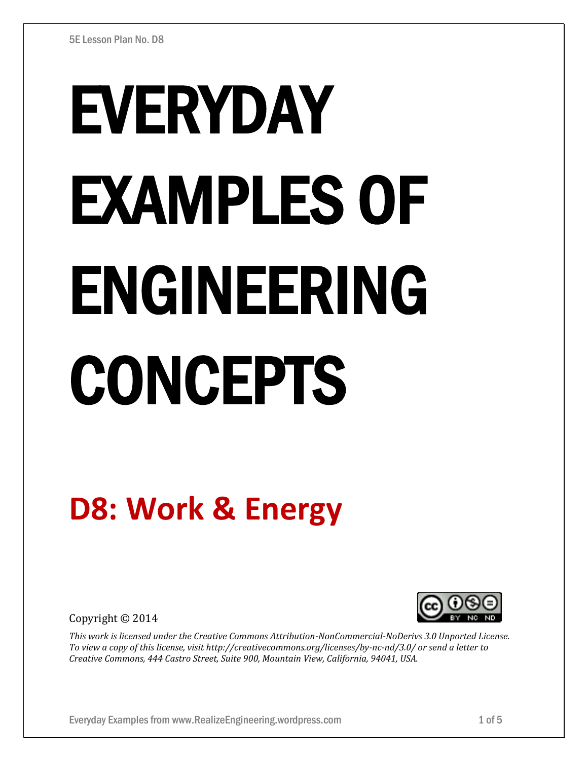# EVERYDAY EXAMPLES OF ENGINEERING **CONCEPTS**

# **D8: Work & Energy**

Copyright © 2014



*This work is licensed under the Creative Commons Attribution-NonCommercial-NoDerivs 3.0 Unported License. To view a copy of this license, visit http://creativecommons.org/licenses/by-nc-nd/3.0/ or send a letter to Creative Commons, 444 Castro Street, Suite 900, Mountain View, California, 94041, USA.*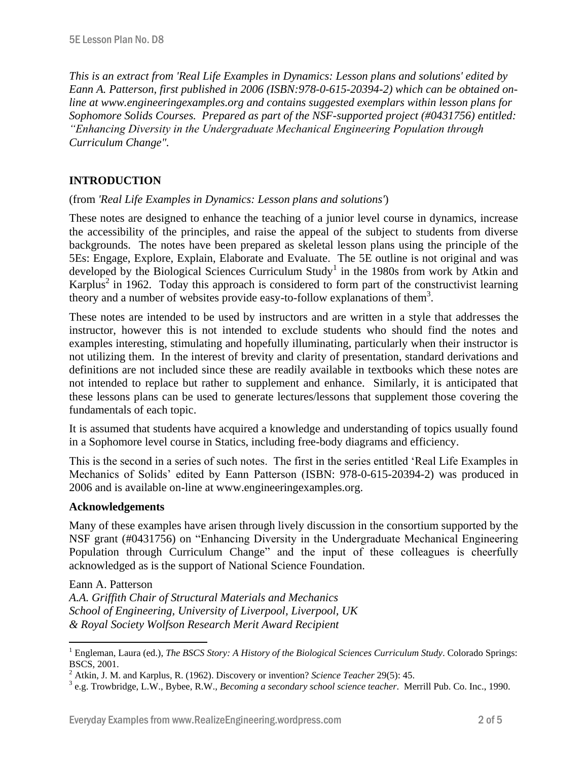*This is an extract from 'Real Life Examples in Dynamics: Lesson plans and solutions' edited by Eann A. Patterson, first published in 2006 (ISBN:978-0-615-20394-2) which can be obtained online at www.engineeringexamples.org and contains suggested exemplars within lesson plans for Sophomore Solids Courses. Prepared as part of the NSF-supported project (#0431756) entitled: "Enhancing Diversity in the Undergraduate Mechanical Engineering Population through Curriculum Change".* 

# **INTRODUCTION**

# (from *'Real Life Examples in Dynamics: Lesson plans and solutions'*)

These notes are designed to enhance the teaching of a junior level course in dynamics, increase the accessibility of the principles, and raise the appeal of the subject to students from diverse backgrounds. The notes have been prepared as skeletal lesson plans using the principle of the 5Es: Engage, Explore, Explain, Elaborate and Evaluate. The 5E outline is not original and was developed by the Biological Sciences Curriculum Study<sup>1</sup> in the 1980s from work by Atkin and Karplus<sup>2</sup> in 1962. Today this approach is considered to form part of the constructivist learning theory and a number of websites provide easy-to-follow explanations of them<sup>3</sup>.

These notes are intended to be used by instructors and are written in a style that addresses the instructor, however this is not intended to exclude students who should find the notes and examples interesting, stimulating and hopefully illuminating, particularly when their instructor is not utilizing them. In the interest of brevity and clarity of presentation, standard derivations and definitions are not included since these are readily available in textbooks which these notes are not intended to replace but rather to supplement and enhance. Similarly, it is anticipated that these lessons plans can be used to generate lectures/lessons that supplement those covering the fundamentals of each topic.

It is assumed that students have acquired a knowledge and understanding of topics usually found in a Sophomore level course in Statics, including free-body diagrams and efficiency.

This is the second in a series of such notes. The first in the series entitled 'Real Life Examples in Mechanics of Solids' edited by Eann Patterson (ISBN: 978-0-615-20394-2) was produced in 2006 and is available on-line at www.engineeringexamples.org.

# **Acknowledgements**

 $\overline{a}$ 

Many of these examples have arisen through lively discussion in the consortium supported by the NSF grant (#0431756) on "Enhancing Diversity in the Undergraduate Mechanical Engineering Population through Curriculum Change" and the input of these colleagues is cheerfully acknowledged as is the support of National Science Foundation.

Eann A. Patterson *A.A. Griffith Chair of Structural Materials and Mechanics School of Engineering, University of Liverpool, Liverpool, UK & Royal Society Wolfson Research Merit Award Recipient*

<sup>1</sup> Engleman, Laura (ed.), *The BSCS Story: A History of the Biological Sciences Curriculum Study*. Colorado Springs: BSCS, 2001.

<sup>2</sup> Atkin, J. M. and Karplus, R. (1962). Discovery or invention? *Science Teacher* 29(5): 45.

<sup>3</sup> e.g. Trowbridge, L.W., Bybee, R.W., *Becoming a secondary school science teacher*. Merrill Pub. Co. Inc., 1990.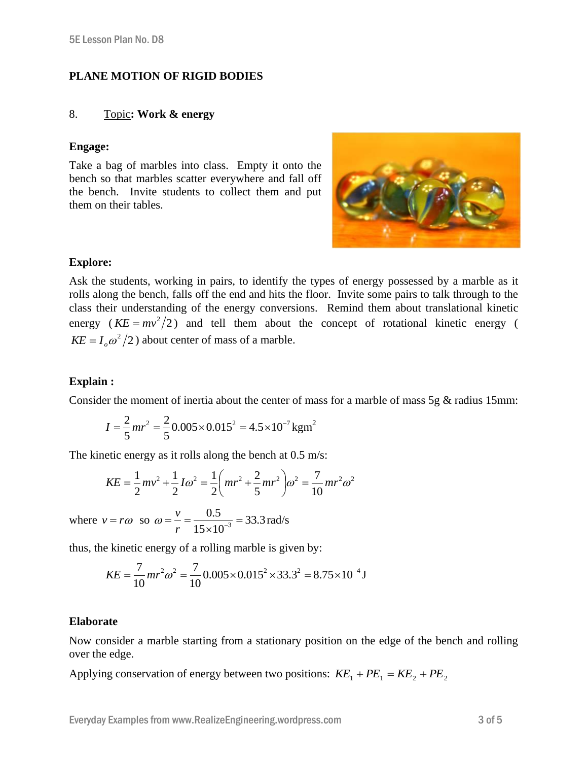# **PLANE MOTION OF RIGID BODIES**

#### 8. Topic**: Work & energy**

#### **Engage:**

Take a bag of marbles into class. Empty it onto the bench so that marbles scatter everywhere and fall off the bench. Invite students to collect them and put them on their tables.



# **Explore:**

Ask the students, working in pairs, to identify the types of energy possessed by a marble as it rolls along the bench, falls off the end and hits the floor. Invite some pairs to talk through to the class their understanding of the energy conversions. Remind them about translational kinetic energy ( $KE = mv^2/2$ ) and tell them about the concept of rotational kinetic energy (  $KE = I_o \omega^2 / 2$ ) about center of mass of a marble.

# **Explain :**

Consider the moment of inertia about the center of mass for a marble of mass 5g & radius 15mm:

$$
I = \frac{2}{5}mr^2 = \frac{2}{5}0.005 \times 0.015^2 = 4.5 \times 10^{-7} \,\text{kgm}^2
$$

The kinetic energy as it rolls along the bench at 0.5 m/s:

$$
KE = \frac{1}{2}mv^2 + \frac{1}{2}I\omega^2 = \frac{1}{2}\left(mr^2 + \frac{2}{5}mr^2\right)\omega^2 = \frac{7}{10}mr^2\omega^2
$$

where  $v = r\omega$  so  $\omega = \frac{v}{r} = \frac{0.5}{15 \times 10^{-3}} = 33.3$  $15 \times 10$ 0.5  $\overline{3}$  =  $=\frac{v}{r}=\frac{0.5}{15\times10^{-7}}$  $\omega = \frac{v}{\sqrt{5}} = \frac{0.5}{1.5 \times 10^{-3}} = 33.3 \text{ rad/s}$ 

thus, the kinetic energy of a rolling marble is given by:

$$
KE = \frac{7}{10}mr^2\omega^2 = \frac{7}{10}0.005 \times 0.015^2 \times 33.3^2 = 8.75 \times 10^{-4} \text{ J}
$$

#### **Elaborate**

Now consider a marble starting from a stationary position on the edge of the bench and rolling over the edge.

Applying conservation of energy between two positions:  $KE_1 + PE_1 = KE_2 + PE_2$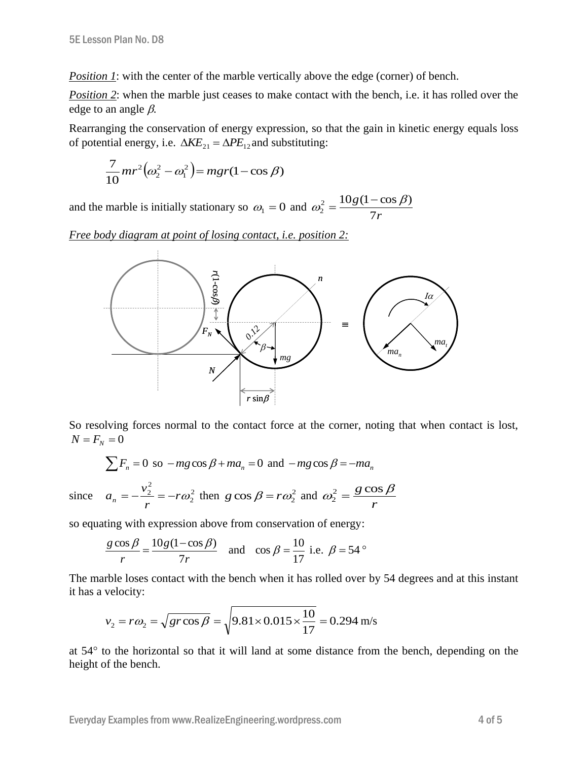*Position 1*: with the center of the marble vertically above the edge (corner) of bench.

*Position 2*: when the marble just ceases to make contact with the bench, i.e. it has rolled over the edge to an angle  $\beta$ .

Rearranging the conservation of energy expression, so that the gain in kinetic energy equals loss of potential energy, i.e.  $\Delta KE_{21} = \Delta PE_{12}$  and substituting:

$$
\frac{7}{10}mr^2(\omega_2^2-\omega_1^2)=mgr(1-\cos\beta)
$$

and the marble is initially stationary so  $\omega_1 = 0$  and *r g* 7  $2 - 10g(1 - \cos \beta)$  $\overline{c}$  $\omega_2^2 = \frac{10g(1-\cos\beta)}{2}$ 

*Free body diagram at point of losing contact, i.e. position 2:*



So resolving forces normal to the contact force at the corner, noting that when contact is lost,  $N = F_N = 0$ 

$$
\sum F_n = 0 \text{ so } -mg\cos\beta + ma_n = 0 \text{ and } -mg\cos\beta = -ma_n
$$

since 
$$
a_n = -\frac{v_2^2}{r} = -r\omega_2^2
$$
 then  $g \cos \beta = r\omega_2^2$  and  $\omega_2^2 = \frac{g \cos \beta}{r}$ 

so equating with expression above from conservation of energy:

$$
\frac{g\cos\beta}{r} = \frac{10g(1-\cos\beta)}{7r}
$$
 and  $\cos\beta = \frac{10}{17}$  i.e.  $\beta = 54^\circ$ 

The marble loses contact with the bench when it has rolled over by 54 degrees and at this instant it has a velocity:

$$
v_2 = r\omega_2 = \sqrt{gr\cos\beta} = \sqrt{9.81 \times 0.015 \times \frac{10}{17}} = 0.294
$$
 m/s

at  $54^{\circ}$  to the horizontal so that it will land at some distance from the bench, depending on the height of the bench.